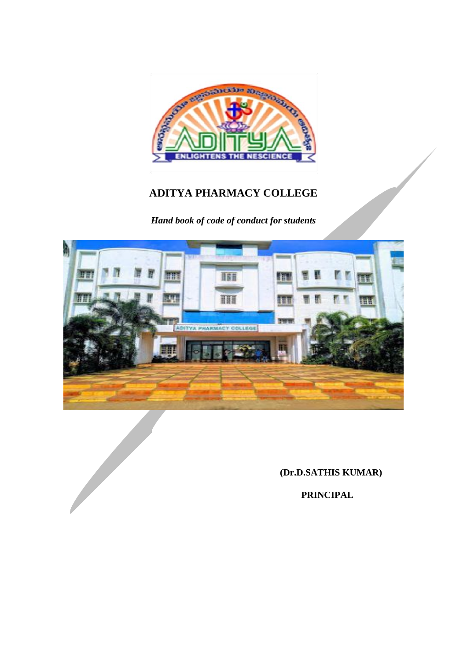

# **ADITYA PHARMACY COLLEGE**

*Hand book of code of conduct for students*



 **(Dr.D.SATHIS KUMAR)**

 **PRINCIPAL**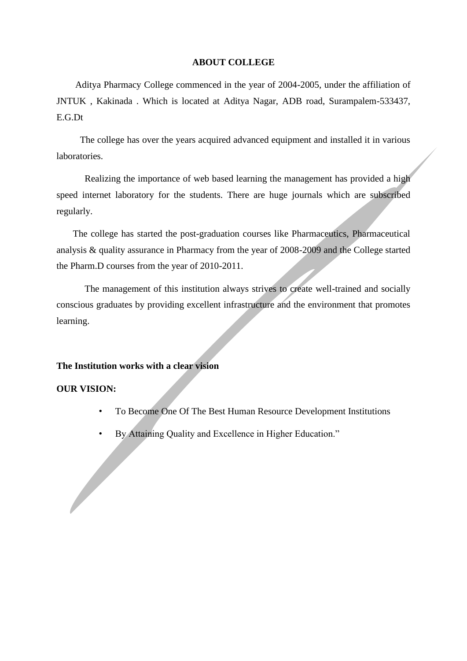### **ABOUT COLLEGE**

 Aditya Pharmacy College commenced in the year of 2004-2005, under the affiliation of JNTUK , Kakinada . Which is located at Aditya Nagar, ADB road, Surampalem-533437, E.G.Dt

 The college has over the years acquired advanced equipment and installed it in various laboratories.

Realizing the importance of web based learning the management has provided a high speed internet laboratory for the students. There are huge journals which are subscribed regularly.

 The college has started the post-graduation courses like Pharmaceutics, Pharmaceutical analysis & quality assurance in Pharmacy from the year of 2008-2009 and the College started the Pharm.D courses from the year of 2010-2011.

The management of this institution always strives to create well-trained and socially conscious graduates by providing excellent infrastructure and the environment that promotes learning.

### **The Institution works with a clear vision**

### **OUR VISION:**

- To Become One Of The Best Human Resource Development Institutions
- By Attaining Quality and Excellence in Higher Education."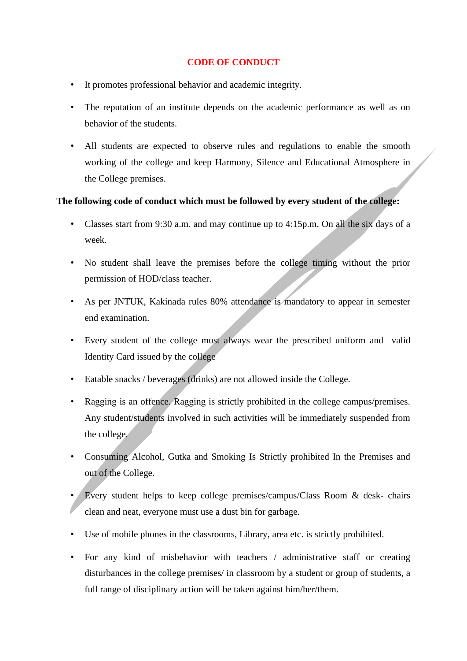# **CODE OF CONDUCT**

- It promotes professional behavior and academic integrity.
- The reputation of an institute depends on the academic performance as well as on behavior of the students.
- All students are expected to observe rules and regulations to enable the smooth working of the college and keep Harmony, Silence and Educational Atmosphere in the College premises.

# **The following code of conduct which must be followed by every student of the college:**

- Classes start from 9:30 a.m. and may continue up to 4:15p.m. On all the six days of a week.
- No student shall leave the premises before the college timing without the prior permission of HOD/class teacher.
- As per JNTUK, Kakinada rules 80% attendance is mandatory to appear in semester end examination.
- Every student of the college must always wear the prescribed uniform and valid Identity Card issued by the college
- Eatable snacks / beverages (drinks) are not allowed inside the College.
- Ragging is an offence. Ragging is strictly prohibited in the college campus/premises. Any student/students involved in such activities will be immediately suspended from the college.
- Consuming Alcohol, Gutka and Smoking Is Strictly prohibited In the Premises and out of the College.
- Every student helps to keep college premises/campus/Class Room & desk- chairs clean and neat, everyone must use a dust bin for garbage.
- Use of mobile phones in the classrooms, Library, area etc. is strictly prohibited.
- For any kind of misbehavior with teachers / administrative staff or creating disturbances in the college premises/ in classroom by a student or group of students, a full range of disciplinary action will be taken against him/her/them.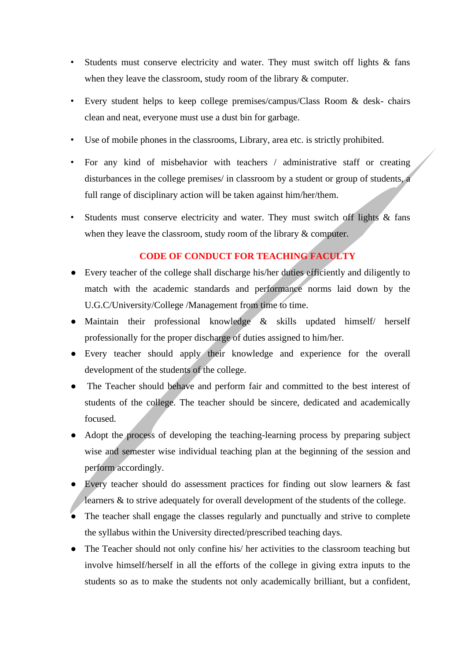- Students must conserve electricity and water. They must switch off lights & fans when they leave the classroom, study room of the library  $\&$  computer.
- Every student helps to keep college premises/campus/Class Room & desk- chairs clean and neat, everyone must use a dust bin for garbage.
- Use of mobile phones in the classrooms, Library, area etc. is strictly prohibited.
- For any kind of misbehavior with teachers / administrative staff or creating disturbances in the college premises/ in classroom by a student or group of students, a full range of disciplinary action will be taken against him/her/them.
- Students must conserve electricity and water. They must switch off lights & fans when they leave the classroom, study room of the library  $\&$  computer.

# **CODE OF CONDUCT FOR TEACHING FACULTY**

- Every teacher of the college shall discharge his/her duties efficiently and diligently to match with the academic standards and performance norms laid down by the U.G.C/University/College /Management from time to time.
- Maintain their professional knowledge & skills updated himself/ herself professionally for the proper discharge of duties assigned to him/her.
- Every teacher should apply their knowledge and experience for the overall development of the students of the college.
- The Teacher should behave and perform fair and committed to the best interest of students of the college. The teacher should be sincere, dedicated and academically focused.
- Adopt the process of developing the teaching-learning process by preparing subject wise and semester wise individual teaching plan at the beginning of the session and perform accordingly.
- Every teacher should do assessment practices for finding out slow learners & fast learners & to strive adequately for overall development of the students of the college.
- The teacher shall engage the classes regularly and punctually and strive to complete the syllabus within the University directed/prescribed teaching days.
- The Teacher should not only confine his/ her activities to the classroom teaching but involve himself/herself in all the efforts of the college in giving extra inputs to the students so as to make the students not only academically brilliant, but a confident,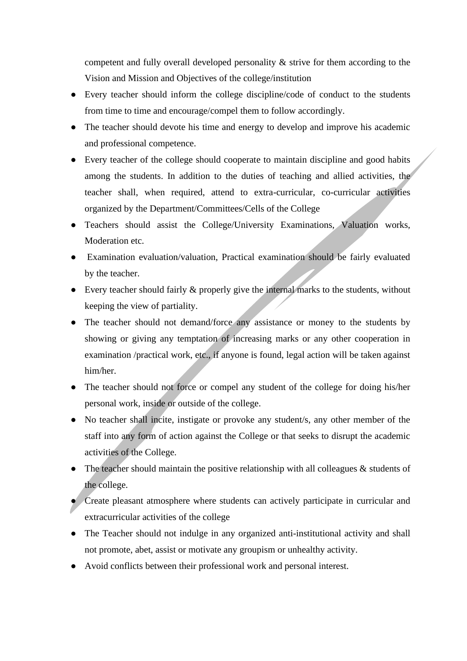competent and fully overall developed personality & strive for them according to the Vision and Mission and Objectives of the college/institution

- Every teacher should inform the college discipline/code of conduct to the students from time to time and encourage/compel them to follow accordingly.
- The teacher should devote his time and energy to develop and improve his academic and professional competence.
- Every teacher of the college should cooperate to maintain discipline and good habits among the students. In addition to the duties of teaching and allied activities, the teacher shall, when required, attend to extra-curricular, co-curricular activities organized by the Department/Committees/Cells of the College
- Teachers should assist the College/University Examinations, Valuation works, Moderation etc.
- Examination evaluation/valuation, Practical examination should be fairly evaluated by the teacher.
- Every teacher should fairly & properly give the internal marks to the students, without keeping the view of partiality.
- The teacher should not demand/force any assistance or money to the students by showing or giving any temptation of increasing marks or any other cooperation in examination /practical work, etc., if anyone is found, legal action will be taken against him/her.
- The teacher should not force or compel any student of the college for doing his/her personal work, inside or outside of the college.
- No teacher shall incite, instigate or provoke any student/s, any other member of the staff into any form of action against the College or that seeks to disrupt the academic activities of the College.
- The teacher should maintain the positive relationship with all colleagues  $\&$  students of the college.
- Create pleasant atmosphere where students can actively participate in curricular and extracurricular activities of the college
- The Teacher should not indulge in any organized anti-institutional activity and shall not promote, abet, assist or motivate any groupism or unhealthy activity.
- Avoid conflicts between their professional work and personal interest.